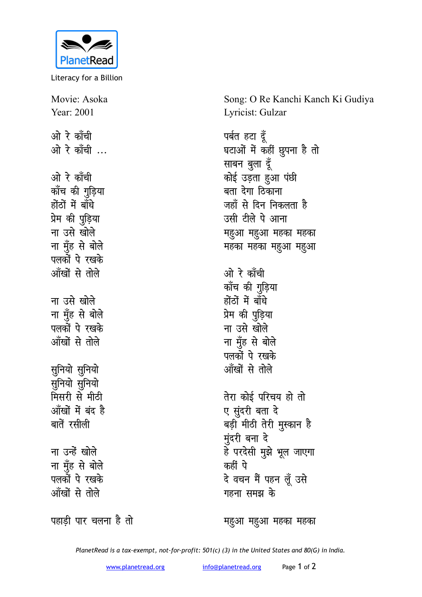

Literacy for a Billion

Movie: Asoka Year: 2001 ओ रे काँची ओ रे काँची ... ओ रे काँची कॉंच की गुड़िया होंठों में बाँधे प्रेम की पुड़िया ना उसे खोले ना मँह से बोले पलकों पे रखके आँखों से तोले ना उसे खोले ना मुँह से बोले पलकों पे रखके आँखों से तोले सुनियो सुनियो सुनियो सुनियो मिसरी से मीठी आँखों में बंद है बातें रसीली ना उन्हें खोले ना मुँह से बोले पलकों पे रखके आँखों से तोले

Song: O Re Kanchi Kanch Ki Gudiya Lyricist: Gulzar

पर्बत हटा दूँ घटाओं में कहीं छुपना है तो साबन बुला दूँ कोई उड़ता हुआ पंछी बता देगा ठिकाना जहाँ से दिन निकलता है उसी टीले पे आना महुआ महुआ महका महका महका महका महुआ महुआ ओ रे काँची कॉंच की गुड़िया होंठों में बाँधे प्रेम की पुड़िया ना उसे खोले ना मूँह से बोले पलकों पे रखके ऑंखों से तोले तेरा कोई परिचय हो तो ए सुंदरी बता दे बड़ी मीठी तेरी मुस्कान है मुंदरी बना दे हे परदेसी मुझे भूल जाएगा कहीं पे दे वचन मैं पहन लूँ उसे गहना समझ के

पहाड़ी पार चलना है तो

महुआ महुआ महका महका

PlanetRead is a tax-exempt, not-for-profit: 501(c) (3) in the United States and 80(G) in India.